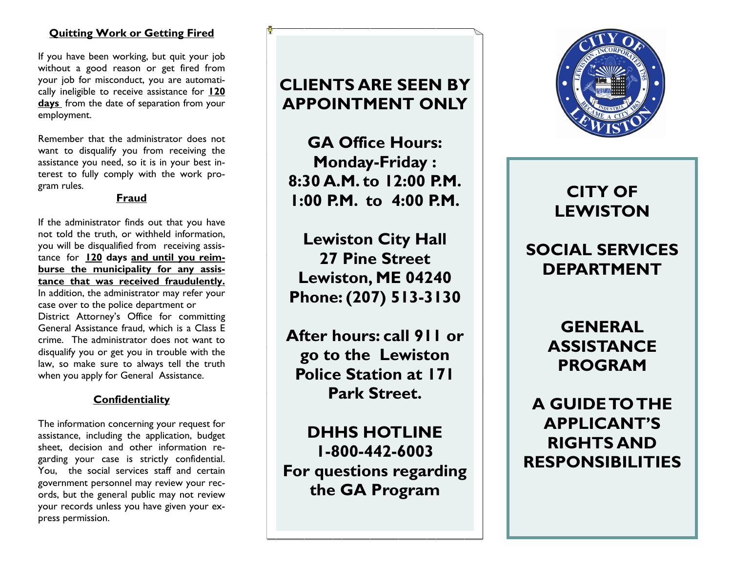# **Quitting Work or Getting Fired**

If you have been working, but quit your job without a good reason or get fired from your job for misconduct, you are automatically ineligible to receive assistance for **120 days** from the date of separation from your employment.

Remember that the administrator does not want to disqualify you from receiving the assistance you need, so it is in your best interest to fully comply with the work program rules.

#### **Fraud**

If the administrator finds out that you have not told the truth, or withheld information, you will be disqualified from receiving assistance for **120 days and until you reimburse the municipality for any assistance that was received fraudulently.**  In addition, the administrator may refer your case over to the police department or District Attorney's Office for committing General Assistance fraud, which is a Class E crime. The administrator does not want to disqualify you or get you in trouble with the law, so make sure to always tell the truth when you apply for General Assistance.

# **Confidentiality**

The information concerning your request for assistance, including the application, budget sheet, decision and other information regarding your case is strictly confidential. You, the social services staff and certain government personnel may review your records, but the general public may not review your records unless you have given your express permission.

# **CLIENTS ARE SEEN BY APPOINTMENT ONLY**

**GA Office Hours: Monday-Friday : 8:30 A.M. to 12:00 P.M. 1:00 P.M. to 4:00 P.M.**

**Lewiston City Hall 27 Pine Street Lewiston, ME 04240 Phone: (207) 513-3130** 

**After hours: call 911 or go to the Lewiston Police Station at 171 Park Street.**

**DHHS HOTLINE 1-800-442-6003 For questions regarding the GA Program**



# **CITY OF LEWISTON**

# **SOCIAL SERVICES DEPARTMENT**

**GENERAL ASSISTANCE PROGRAM**

**A GUIDE TO THE APPLICANT'S RIGHTS AND RESPONSIBILITIES**